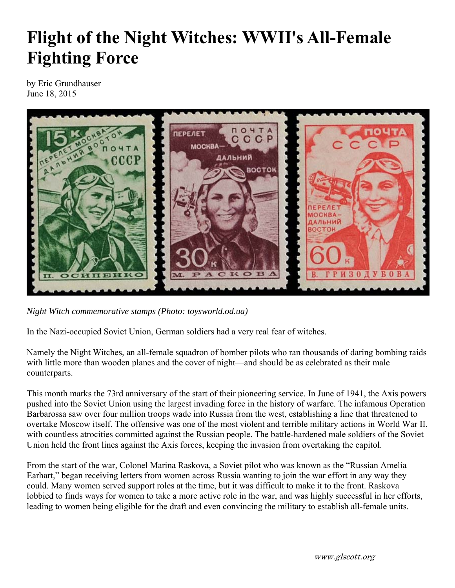## **Flight of the Night Witches: WWII's All-Female Fighting Force**

by Eric Grundhauser June 18, 2015



*Night Witch commemorative stamps (Photo: toysworld.od.ua)*

In the Nazi-occupied Soviet Union, German soldiers had a very real fear of witches.

Namely the Night Witches, an all-female squadron of bomber pilots who ran thousands of daring bombing raids with little more than wooden planes and the cover of night—and should be as celebrated as their male counterparts.

This month marks the 73rd anniversary of the start of their pioneering service. In June of 1941, the Axis powers pushed into the Soviet Union using the largest invading force in the history of warfare. The infamous Operation Barbarossa saw over four million troops wade into Russia from the west, establishing a line that threatened to overtake Moscow itself. The offensive was one of the most violent and terrible military actions in World War II, with countless atrocities committed against the Russian people. The battle-hardened male soldiers of the Soviet Union held the front lines against the Axis forces, keeping the invasion from overtaking the capitol.

From the start of the war, Colonel Marina Raskova, a Soviet pilot who was known as the "Russian Amelia Earhart," began receiving letters from women across Russia wanting to join the war effort in any way they could. Many women served support roles at the time, but it was difficult to make it to the front. Raskova lobbied to finds ways for women to take a more active role in the war, and was highly successful in her efforts, leading to women being eligible for the draft and even convincing the military to establish all-female units.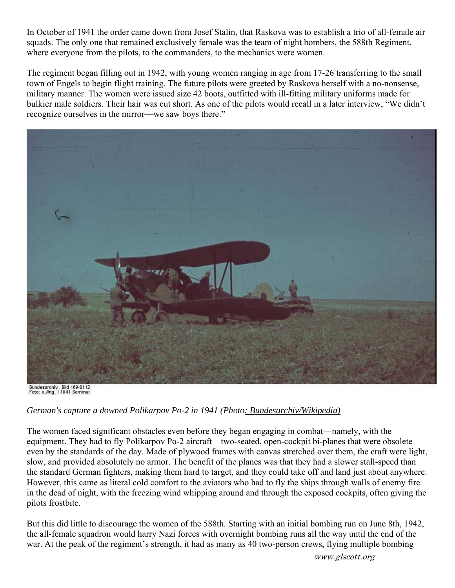In October of 1941 the order came down from Josef Stalin, that Raskova was to establish a trio of all-female air squads. The only one that remained exclusively female was the team of night bombers, the 588th Regiment, where everyone from the pilots, to the commanders, to the mechanics were women.

The regiment began filling out in 1942, with young women ranging in age from 17-26 transferring to the small town of Engels to begin flight training. The future pilots were greeted by Raskova herself with a no-nonsense, military manner. The women were issued size 42 boots, outfitted with ill-fitting military uniforms made for bulkier male soldiers. Their hair was cut short. As one of the pilots would recall in a later interview, "We didn't recognize ourselves in the mirror—we saw boys there."



Bundesarchiv, Bild 169-0112<br>Foto: o.Ang. | 1941 Sommer

## *German's capture a downed Polikarpov Po-2 in 1941 (Photo: Bundesarchiv/Wikipedia)*

The women faced significant obstacles even before they began engaging in combat—namely, with the equipment. They had to fly Polikarpov Po-2 aircraft—two-seated, open-cockpit bi-planes that were obsolete even by the standards of the day. Made of plywood frames with canvas stretched over them, the craft were light, slow, and provided absolutely no armor. The benefit of the planes was that they had a slower stall-speed than the standard German fighters, making them hard to target, and they could take off and land just about anywhere. However, this came as literal cold comfort to the aviators who had to fly the ships through walls of enemy fire in the dead of night, with the freezing wind whipping around and through the exposed cockpits, often giving the pilots frostbite.

But this did little to discourage the women of the 588th. Starting with an initial bombing run on June 8th, 1942, the all-female squadron would harry Nazi forces with overnight bombing runs all the way until the end of the war. At the peak of the regiment's strength, it had as many as 40 two-person crews, flying multiple bombing

www.glscott.org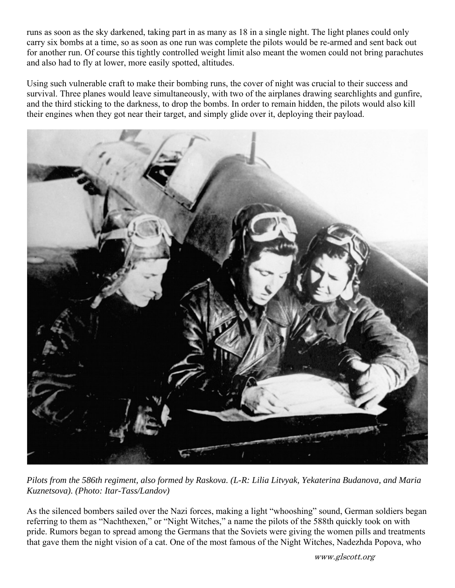runs as soon as the sky darkened, taking part in as many as 18 in a single night. The light planes could only carry six bombs at a time, so as soon as one run was complete the pilots would be re-armed and sent back out for another run. Of course this tightly controlled weight limit also meant the women could not bring parachutes and also had to fly at lower, more easily spotted, altitudes.

Using such vulnerable craft to make their bombing runs, the cover of night was crucial to their success and survival. Three planes would leave simultaneously, with two of the airplanes drawing searchlights and gunfire, and the third sticking to the darkness, to drop the bombs. In order to remain hidden, the pilots would also kill their engines when they got near their target, and simply glide over it, deploying their payload.



*Pilots from the 586th regiment, also formed by Raskova. (L-R: Lilia Litvyak, Yekaterina Budanova, and Maria Kuznetsova). (Photo: Itar-Tass/Landov)*

As the silenced bombers sailed over the Nazi forces, making a light "whooshing" sound, German soldiers began referring to them as "Nachthexen," or "Night Witches," a name the pilots of the 588th quickly took on with pride. Rumors began to spread among the Germans that the Soviets were giving the women pills and treatments that gave them the night vision of a cat. One of the most famous of the Night Witches, Nadezhda Popova, who

www.glscott.org